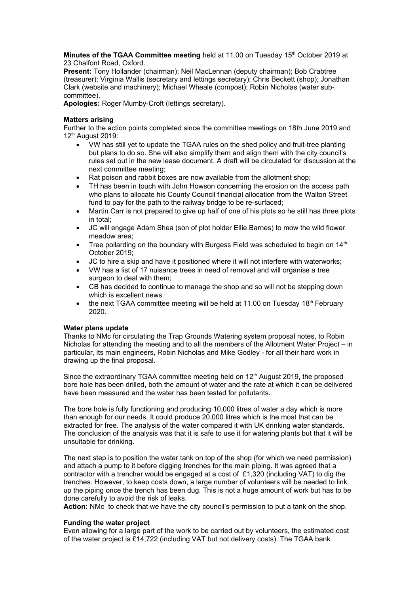**Minutes of the TGAA Committee meeting** held at 11.00 on Tuesday 15<sup>th</sup> October 2019 at 23 Chalfont Road, Oxford.

**Present:** Tony Hollander (chairman); Neil MacLennan (deputy chairman); Bob Crabtree (treasurer); Virginia Wallis (secretary and lettings secretary); Chris Beckett (shop); Jonathan Clark (website and machinery); Michael Wheale (compost); Robin Nicholas (water subcommittee).

**Apologies:** Roger Mumby-Croft (lettings secretary).

## **Matters arising**

Further to the action points completed since the committee meetings on 18th June 2019 and 12th August 2019:

- VW has still yet to update the TGAA rules on the shed policy and fruit-tree planting but plans to do so. She will also simplify them and align them with the city council's rules set out in the new lease document. A draft will be circulated for discussion at the next committee meeting;
- Rat poison and rabbit boxes are now available from the allotment shop;
- TH has been in touch with John Howson concerning the erosion on the access path who plans to allocate his County Council financial allocation from the Walton Street fund to pay for the path to the railway bridge to be re-surfaced;
- Martin Carr is not prepared to give up half of one of his plots so he still has three plots in total;
- JC will engage Adam Shea (son of plot holder Ellie Barnes) to mow the wild flower meadow area;
- Tree pollarding on the boundary with Burgess Field was scheduled to begin on 14<sup>th</sup> October 2019;
- JC to hire a skip and have it positioned where it will not interfere with waterworks;
- VW has a list of 17 nuisance trees in need of removal and will organise a tree surgeon to deal with them;
- CB has decided to continue to manage the shop and so will not be stepping down which is excellent news.
- the next TGAA committee meeting will be held at 11.00 on Tuesday  $18<sup>th</sup>$  February 2020.

## **Water plans update**

Thanks to NMc for circulating the Trap Grounds Watering system proposal notes, to Robin Nicholas for attending the meeting and to all the members of the Allotment Water Project – in particular, its main engineers, Robin Nicholas and Mike Godley - for all their hard work in drawing up the final proposal.

Since the extraordinary TGAA committee meeting held on  $12<sup>th</sup>$  August 2019, the proposed bore hole has been drilled, both the amount of water and the rate at which it can be delivered have been measured and the water has been tested for pollutants.

The bore hole is fully functioning and producing 10,000 litres of water a day which is more than enough for our needs. It could produce 20,000 litres which is the most that can be extracted for free. The analysis of the water compared it with UK drinking water standards. The conclusion of the analysis was that it is safe to use it for watering plants but that it will be unsuitable for drinking.

The next step is to position the water tank on top of the shop (for which we need permission) and attach a pump to it before digging trenches for the main piping. It was agreed that a contractor with a trencher would be engaged at a cost of £1,320 (including VAT) to dig the trenches. However, to keep costs down, a large number of volunteers will be needed to link up the piping once the trench has been dug. This is not a huge amount of work but has to be done carefully to avoid the risk of leaks.

**Action:** NMc to check that we have the city council's permission to put a tank on the shop.

## **Funding the water project**

Even allowing for a large part of the work to be carried out by volunteers, the estimated cost of the water project is £14,722 (including VAT but not delivery costs). The TGAA bank